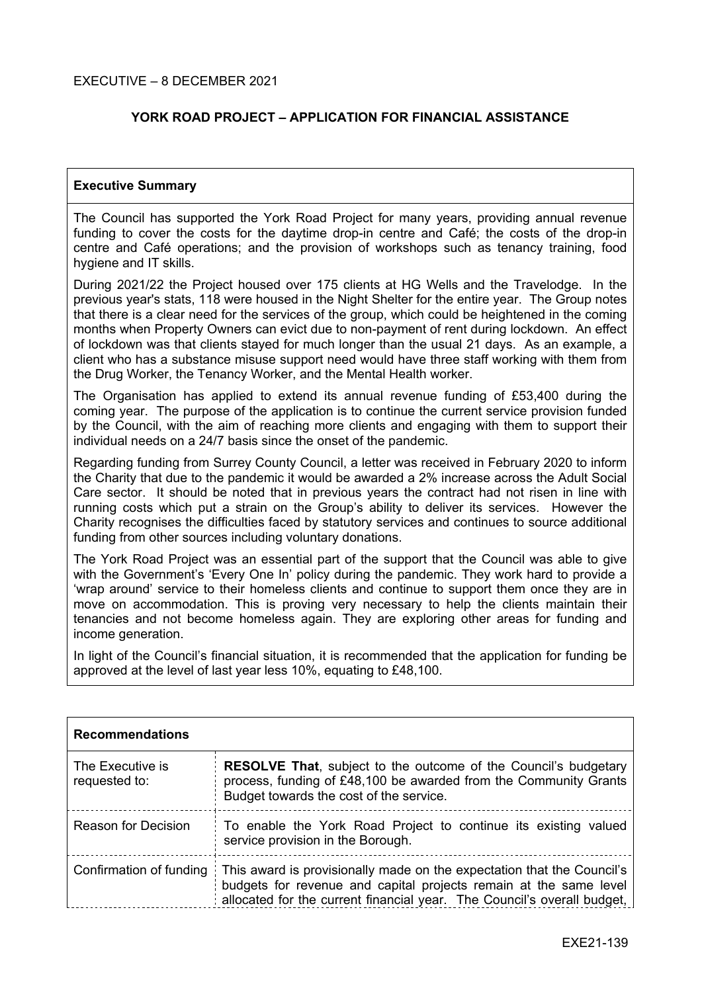## **YORK ROAD PROJECT – APPLICATION FOR FINANCIAL ASSISTANCE**

#### **Executive Summary**

The Council has supported the York Road Project for many years, providing annual revenue funding to cover the costs for the daytime drop-in centre and Café; the costs of the drop-in centre and Café operations; and the provision of workshops such as tenancy training, food hygiene and IT skills.

During 2021/22 the Project housed over 175 clients at HG Wells and the Travelodge. In the previous year's stats, 118 were housed in the Night Shelter for the entire year. The Group notes that there is a clear need for the services of the group, which could be heightened in the coming months when Property Owners can evict due to non-payment of rent during lockdown. An effect of lockdown was that clients stayed for much longer than the usual 21 days. As an example, a client who has a substance misuse support need would have three staff working with them from the Drug Worker, the Tenancy Worker, and the Mental Health worker.

The Organisation has applied to extend its annual revenue funding of £53,400 during the coming year. The purpose of the application is to continue the current service provision funded by the Council, with the aim of reaching more clients and engaging with them to support their individual needs on a 24/7 basis since the onset of the pandemic.

Regarding funding from Surrey County Council, a letter was received in February 2020 to inform the Charity that due to the pandemic it would be awarded a 2% increase across the Adult Social Care sector. It should be noted that in previous years the contract had not risen in line with running costs which put a strain on the Group's ability to deliver its services. However the Charity recognises the difficulties faced by statutory services and continues to source additional funding from other sources including voluntary donations.

The York Road Project was an essential part of the support that the Council was able to give with the Government's 'Every One In' policy during the pandemic. They work hard to provide a 'wrap around' service to their homeless clients and continue to support them once they are in move on accommodation. This is proving very necessary to help the clients maintain their tenancies and not become homeless again. They are exploring other areas for funding and income generation.

In light of the Council's financial situation, it is recommended that the application for funding be approved at the level of last year less 10%, equating to £48,100.

| <b>Recommendations</b>            |                                                                                                                                                                                                                        |  |
|-----------------------------------|------------------------------------------------------------------------------------------------------------------------------------------------------------------------------------------------------------------------|--|
| The Executive is<br>requested to: | <b>RESOLVE That, subject to the outcome of the Council's budgetary</b><br>process, funding of £48,100 be awarded from the Community Grants<br>Budget towards the cost of the service.                                  |  |
| <b>Reason for Decision</b>        | To enable the York Road Project to continue its existing valued<br>service provision in the Borough.                                                                                                                   |  |
| Confirmation of funding           | This award is provisionally made on the expectation that the Council's<br>budgets for revenue and capital projects remain at the same level<br>allocated for the current financial year. The Council's overall budget, |  |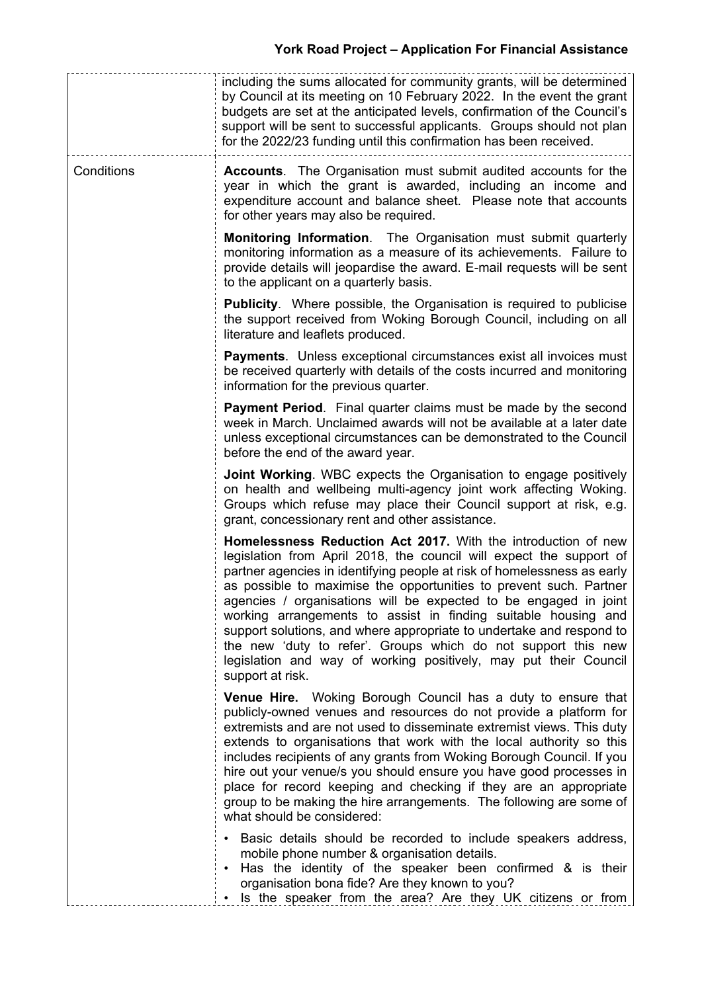|            | including the sums allocated for community grants, will be determined<br>by Council at its meeting on 10 February 2022. In the event the grant<br>budgets are set at the anticipated levels, confirmation of the Council's<br>support will be sent to successful applicants. Groups should not plan<br>for the 2022/23 funding until this confirmation has been received.                                                                                                                                                                                                                                                                                    |
|------------|--------------------------------------------------------------------------------------------------------------------------------------------------------------------------------------------------------------------------------------------------------------------------------------------------------------------------------------------------------------------------------------------------------------------------------------------------------------------------------------------------------------------------------------------------------------------------------------------------------------------------------------------------------------|
| Conditions | <b>Accounts.</b> The Organisation must submit audited accounts for the<br>year in which the grant is awarded, including an income and<br>expenditure account and balance sheet. Please note that accounts<br>for other years may also be required.                                                                                                                                                                                                                                                                                                                                                                                                           |
|            | <b>Monitoring Information.</b> The Organisation must submit quarterly<br>monitoring information as a measure of its achievements. Failure to<br>provide details will jeopardise the award. E-mail requests will be sent<br>to the applicant on a quarterly basis.                                                                                                                                                                                                                                                                                                                                                                                            |
|            | <b>Publicity.</b> Where possible, the Organisation is required to publicise<br>the support received from Woking Borough Council, including on all<br>literature and leaflets produced.                                                                                                                                                                                                                                                                                                                                                                                                                                                                       |
|            | <b>Payments.</b> Unless exceptional circumstances exist all invoices must<br>be received quarterly with details of the costs incurred and monitoring<br>information for the previous quarter.                                                                                                                                                                                                                                                                                                                                                                                                                                                                |
|            | Payment Period. Final quarter claims must be made by the second<br>week in March. Unclaimed awards will not be available at a later date<br>unless exceptional circumstances can be demonstrated to the Council<br>before the end of the award year.                                                                                                                                                                                                                                                                                                                                                                                                         |
|            | Joint Working. WBC expects the Organisation to engage positively<br>on health and wellbeing multi-agency joint work affecting Woking.<br>Groups which refuse may place their Council support at risk, e.g.<br>grant, concessionary rent and other assistance.                                                                                                                                                                                                                                                                                                                                                                                                |
|            | Homelessness Reduction Act 2017. With the introduction of new<br>legislation from April 2018, the council will expect the support of<br>partner agencies in identifying people at risk of homelessness as early<br>as possible to maximise the opportunities to prevent such. Partner<br>agencies / organisations will be expected to be engaged in joint<br>working arrangements to assist in finding suitable housing and<br>support solutions, and where appropriate to undertake and respond to<br>the new 'duty to refer'. Groups which do not support this new<br>legislation and way of working positively, may put their Council<br>support at risk. |
|            | <b>Venue Hire.</b> Woking Borough Council has a duty to ensure that<br>publicly-owned venues and resources do not provide a platform for<br>extremists and are not used to disseminate extremist views. This duty<br>extends to organisations that work with the local authority so this<br>includes recipients of any grants from Woking Borough Council. If you<br>hire out your venue/s you should ensure you have good processes in<br>place for record keeping and checking if they are an appropriate<br>group to be making the hire arrangements. The following are some of<br>what should be considered:                                             |
|            | • Basic details should be recorded to include speakers address,<br>mobile phone number & organisation details.<br>Has the identity of the speaker been confirmed & is their<br>organisation bona fide? Are they known to you?<br>Is the speaker from the area? Are they UK citizens or from                                                                                                                                                                                                                                                                                                                                                                  |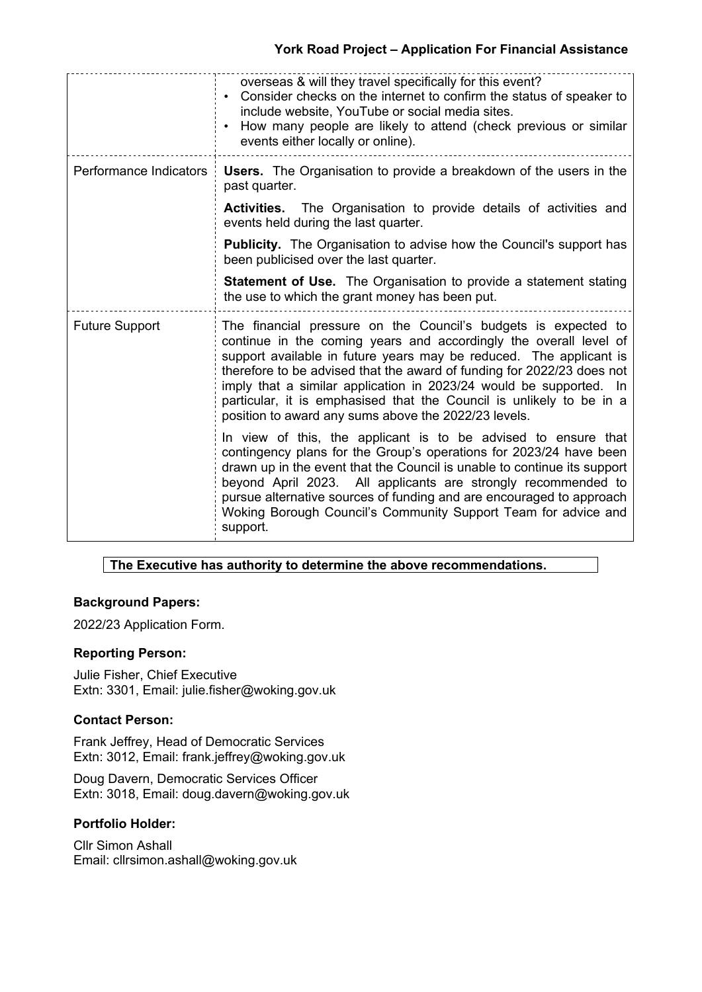# **York Road Project – Application For Financial Assistance**

|                        | overseas & will they travel specifically for this event?<br>• Consider checks on the internet to confirm the status of speaker to<br>include website, YouTube or social media sites.<br>• How many people are likely to attend (check previous or similar<br>events either locally or online).                                                                                                                                                                                            |  |
|------------------------|-------------------------------------------------------------------------------------------------------------------------------------------------------------------------------------------------------------------------------------------------------------------------------------------------------------------------------------------------------------------------------------------------------------------------------------------------------------------------------------------|--|
| Performance Indicators | <b>Users.</b> The Organisation to provide a breakdown of the users in the<br>past quarter.                                                                                                                                                                                                                                                                                                                                                                                                |  |
|                        | <b>Activities.</b> The Organisation to provide details of activities and<br>events held during the last quarter.                                                                                                                                                                                                                                                                                                                                                                          |  |
|                        | <b>Publicity.</b> The Organisation to advise how the Council's support has<br>been publicised over the last quarter.                                                                                                                                                                                                                                                                                                                                                                      |  |
|                        | <b>Statement of Use.</b> The Organisation to provide a statement stating<br>the use to which the grant money has been put.                                                                                                                                                                                                                                                                                                                                                                |  |
| <b>Future Support</b>  | The financial pressure on the Council's budgets is expected to<br>continue in the coming years and accordingly the overall level of<br>support available in future years may be reduced. The applicant is<br>therefore to be advised that the award of funding for 2022/23 does not<br>imply that a similar application in 2023/24 would be supported. In<br>particular, it is emphasised that the Council is unlikely to be in a<br>position to award any sums above the 2022/23 levels. |  |
|                        | In view of this, the applicant is to be advised to ensure that<br>contingency plans for the Group's operations for 2023/24 have been<br>drawn up in the event that the Council is unable to continue its support<br>beyond April 2023. All applicants are strongly recommended to<br>pursue alternative sources of funding and are encouraged to approach<br>Woking Borough Council's Community Support Team for advice and<br>support.                                                   |  |

# **The Executive has authority to determine the above recommendations.**

### **Background Papers:**

2022/23 Application Form.

## **Reporting Person:**

Julie Fisher, Chief Executive Extn: 3301, Email: julie.fisher@woking.gov.uk

### **Contact Person:**

Frank Jeffrey, Head of Democratic Services Extn: 3012, Email: frank.jeffrey@woking.gov.uk

Doug Davern, Democratic Services Officer Extn: 3018, Email: doug.davern@woking.gov.uk

# **Portfolio Holder:**

Cllr Simon Ashall Email: cllrsimon.ashall@woking.gov.uk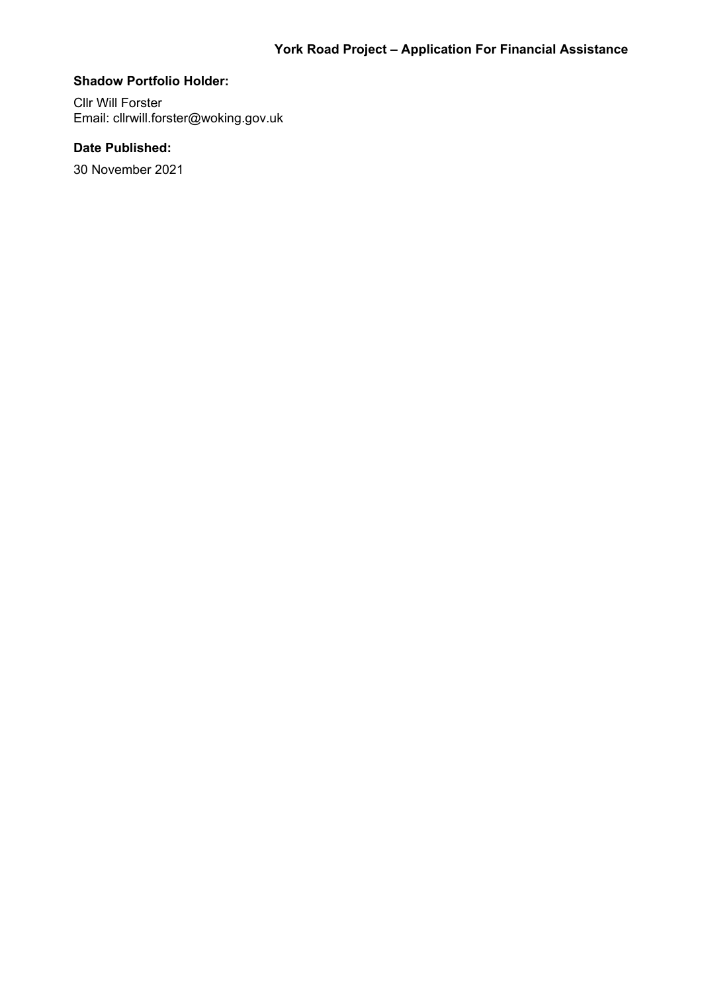#### **Shadow Portfolio Holder:**

Cllr Will Forster Email: cllrwill.forster@woking.gov.uk

# **Date Published:**

30 November 2021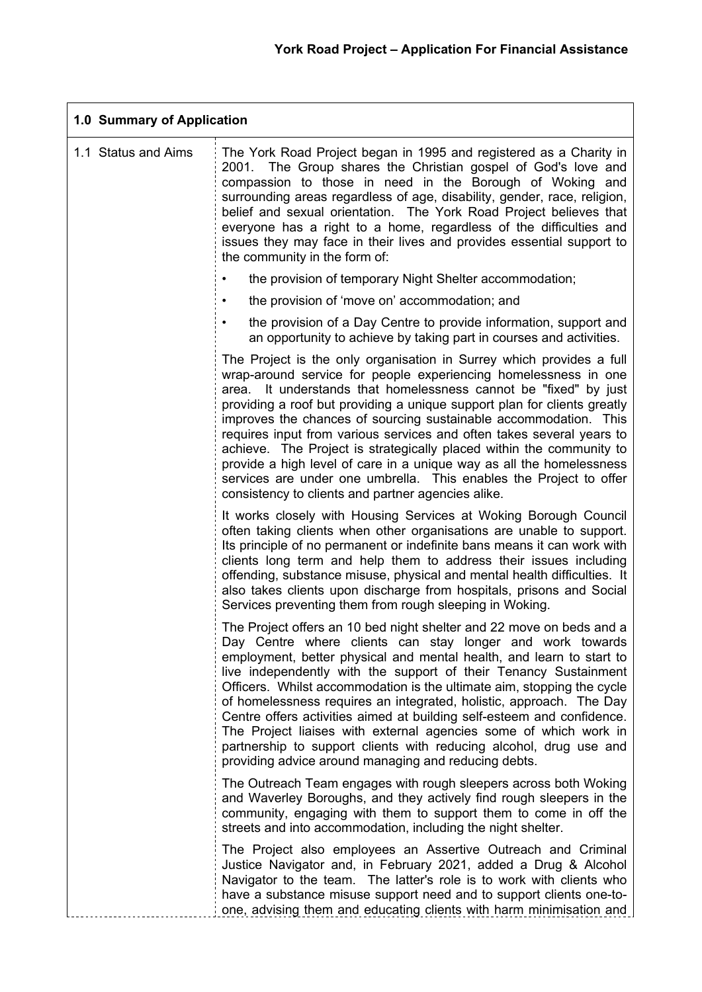| 1.0 Summary of Application |                                                                                                                                                                                                                                                                                                                                                                                                                                                                                                                                                                                                                                                                                                                     |  |
|----------------------------|---------------------------------------------------------------------------------------------------------------------------------------------------------------------------------------------------------------------------------------------------------------------------------------------------------------------------------------------------------------------------------------------------------------------------------------------------------------------------------------------------------------------------------------------------------------------------------------------------------------------------------------------------------------------------------------------------------------------|--|
| 1.1 Status and Aims        | The York Road Project began in 1995 and registered as a Charity in<br>2001. The Group shares the Christian gospel of God's love and<br>compassion to those in need in the Borough of Woking and<br>surrounding areas regardless of age, disability, gender, race, religion,<br>belief and sexual orientation. The York Road Project believes that<br>everyone has a right to a home, regardless of the difficulties and<br>issues they may face in their lives and provides essential support to<br>the community in the form of:                                                                                                                                                                                   |  |
|                            | the provision of temporary Night Shelter accommodation;                                                                                                                                                                                                                                                                                                                                                                                                                                                                                                                                                                                                                                                             |  |
|                            | the provision of 'move on' accommodation; and                                                                                                                                                                                                                                                                                                                                                                                                                                                                                                                                                                                                                                                                       |  |
|                            | the provision of a Day Centre to provide information, support and<br>$\bullet$<br>an opportunity to achieve by taking part in courses and activities.                                                                                                                                                                                                                                                                                                                                                                                                                                                                                                                                                               |  |
|                            | The Project is the only organisation in Surrey which provides a full<br>wrap-around service for people experiencing homelessness in one<br>It understands that homelessness cannot be "fixed" by just<br>area.<br>providing a roof but providing a unique support plan for clients greatly<br>improves the chances of sourcing sustainable accommodation. This<br>requires input from various services and often takes several years to<br>achieve. The Project is strategically placed within the community to<br>provide a high level of care in a unique way as all the homelessness<br>services are under one umbrella. This enables the Project to offer<br>consistency to clients and partner agencies alike. |  |
|                            | It works closely with Housing Services at Woking Borough Council<br>often taking clients when other organisations are unable to support.<br>Its principle of no permanent or indefinite bans means it can work with<br>clients long term and help them to address their issues including<br>offending, substance misuse, physical and mental health difficulties. It<br>also takes clients upon discharge from hospitals, prisons and Social<br>Services preventing them from rough sleeping in Woking.                                                                                                                                                                                                             |  |
|                            | The Project offers an 10 bed night shelter and 22 move on beds and a<br>Day Centre where clients can stay longer and work towards<br>employment, better physical and mental health, and learn to start to<br>live independently with the support of their Tenancy Sustainment<br>Officers. Whilst accommodation is the ultimate aim, stopping the cycle<br>of homelessness requires an integrated, holistic, approach. The Day<br>Centre offers activities aimed at building self-esteem and confidence.<br>The Project liaises with external agencies some of which work in<br>partnership to support clients with reducing alcohol, drug use and<br>providing advice around managing and reducing debts.          |  |
|                            | The Outreach Team engages with rough sleepers across both Woking<br>and Waverley Boroughs, and they actively find rough sleepers in the<br>community, engaging with them to support them to come in off the<br>streets and into accommodation, including the night shelter.                                                                                                                                                                                                                                                                                                                                                                                                                                         |  |
|                            | The Project also employees an Assertive Outreach and Criminal<br>Justice Navigator and, in February 2021, added a Drug & Alcohol<br>Navigator to the team. The latter's role is to work with clients who<br>have a substance misuse support need and to support clients one-to-<br>one, advising them and educating clients with harm minimisation and                                                                                                                                                                                                                                                                                                                                                              |  |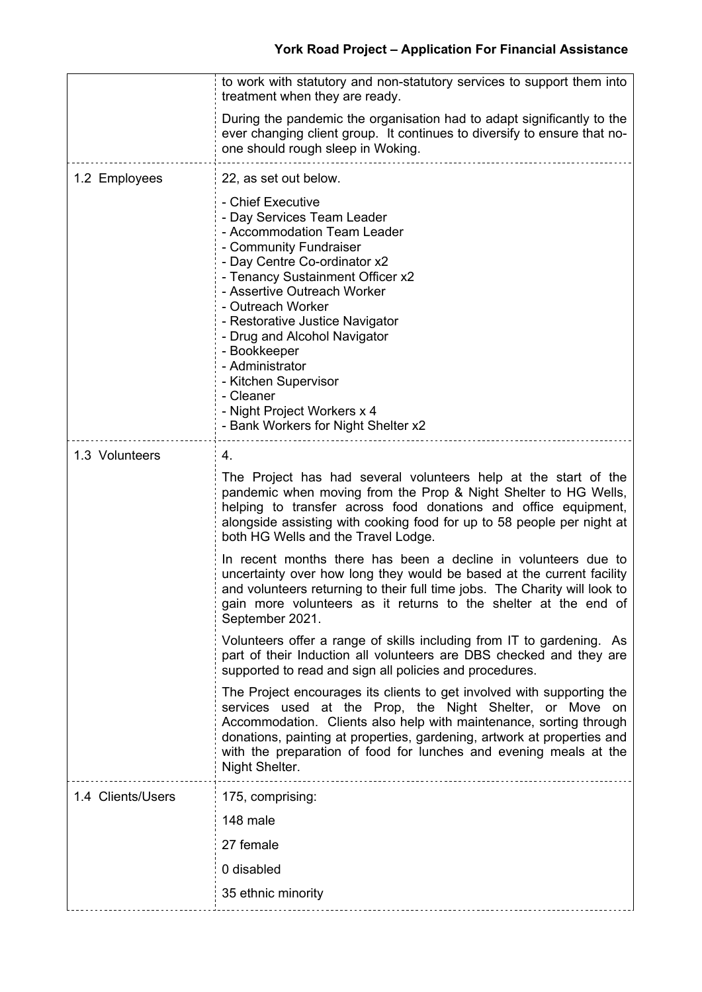|                   | to work with statutory and non-statutory services to support them into<br>treatment when they are ready.                                                                                                                                                                                                                                                                                                                                          |  |  |
|-------------------|---------------------------------------------------------------------------------------------------------------------------------------------------------------------------------------------------------------------------------------------------------------------------------------------------------------------------------------------------------------------------------------------------------------------------------------------------|--|--|
|                   | During the pandemic the organisation had to adapt significantly to the<br>ever changing client group. It continues to diversify to ensure that no-<br>one should rough sleep in Woking.                                                                                                                                                                                                                                                           |  |  |
| 1.2 Employees     | 22, as set out below.                                                                                                                                                                                                                                                                                                                                                                                                                             |  |  |
|                   | - Chief Executive<br>- Day Services Team Leader<br>- Accommodation Team Leader<br>- Community Fundraiser<br>- Day Centre Co-ordinator x2<br>- Tenancy Sustainment Officer x2<br>- Assertive Outreach Worker<br>- Outreach Worker<br>- Restorative Justice Navigator<br>- Drug and Alcohol Navigator<br>- Bookkeeper<br>- Administrator<br>- Kitchen Supervisor<br>- Cleaner<br>- Night Project Workers x 4<br>- Bank Workers for Night Shelter x2 |  |  |
| 1.3 Volunteers    | 4.                                                                                                                                                                                                                                                                                                                                                                                                                                                |  |  |
|                   | The Project has had several volunteers help at the start of the<br>pandemic when moving from the Prop & Night Shelter to HG Wells,<br>helping to transfer across food donations and office equipment,<br>alongside assisting with cooking food for up to 58 people per night at<br>both HG Wells and the Travel Lodge.                                                                                                                            |  |  |
|                   | In recent months there has been a decline in volunteers due to<br>uncertainty over how long they would be based at the current facility<br>and volunteers returning to their full time jobs. The Charity will look to<br>gain more volunteers as it returns to the shelter at the end of<br>September 2021.                                                                                                                                       |  |  |
|                   | Volunteers offer a range of skills including from IT to gardening. As<br>part of their Induction all volunteers are DBS checked and they are<br>supported to read and sign all policies and procedures.                                                                                                                                                                                                                                           |  |  |
|                   | The Project encourages its clients to get involved with supporting the<br>services used at the Prop, the Night Shelter, or Move on<br>Accommodation. Clients also help with maintenance, sorting through<br>donations, painting at properties, gardening, artwork at properties and<br>with the preparation of food for lunches and evening meals at the<br>Night Shelter.                                                                        |  |  |
| 1.4 Clients/Users | 175, comprising:                                                                                                                                                                                                                                                                                                                                                                                                                                  |  |  |
|                   | 148 male                                                                                                                                                                                                                                                                                                                                                                                                                                          |  |  |
|                   | 27 female                                                                                                                                                                                                                                                                                                                                                                                                                                         |  |  |
|                   | 0 disabled                                                                                                                                                                                                                                                                                                                                                                                                                                        |  |  |
|                   | 35 ethnic minority                                                                                                                                                                                                                                                                                                                                                                                                                                |  |  |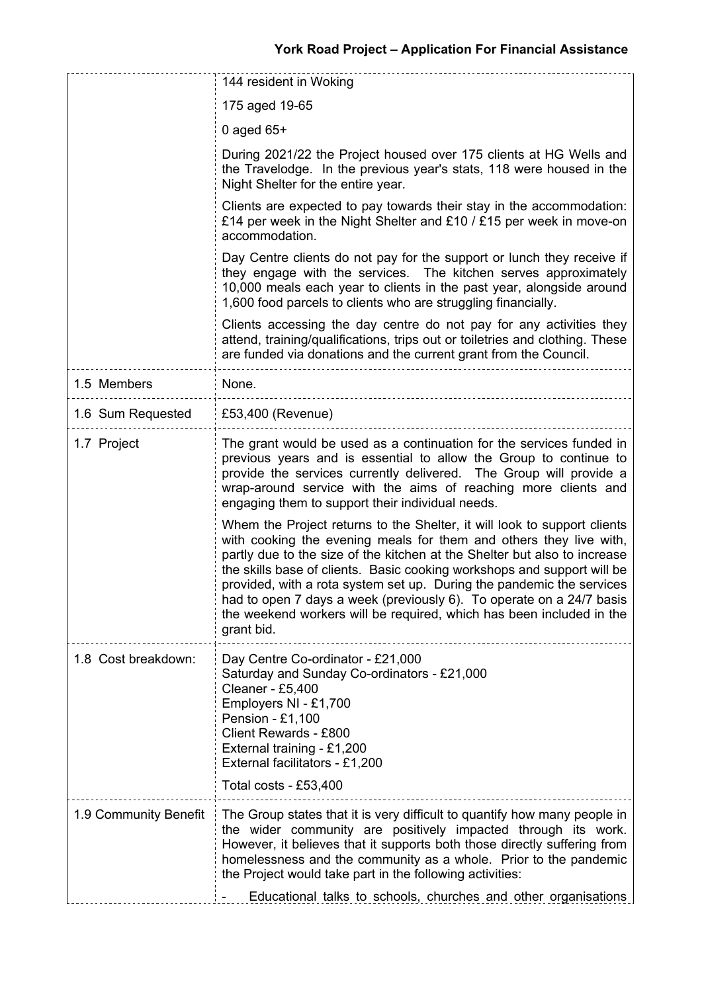|                       | 144 resident in Woking                                                                                                                                                                                                                                                                                                                                                                                                                                                                                                                        |  |
|-----------------------|-----------------------------------------------------------------------------------------------------------------------------------------------------------------------------------------------------------------------------------------------------------------------------------------------------------------------------------------------------------------------------------------------------------------------------------------------------------------------------------------------------------------------------------------------|--|
|                       | 175 aged 19-65                                                                                                                                                                                                                                                                                                                                                                                                                                                                                                                                |  |
|                       | 0 aged $65+$                                                                                                                                                                                                                                                                                                                                                                                                                                                                                                                                  |  |
|                       | During 2021/22 the Project housed over 175 clients at HG Wells and<br>the Travelodge. In the previous year's stats, 118 were housed in the<br>Night Shelter for the entire year.                                                                                                                                                                                                                                                                                                                                                              |  |
|                       | Clients are expected to pay towards their stay in the accommodation:<br>£14 per week in the Night Shelter and £10 / £15 per week in move-on<br>accommodation.                                                                                                                                                                                                                                                                                                                                                                                 |  |
|                       | Day Centre clients do not pay for the support or lunch they receive if<br>they engage with the services. The kitchen serves approximately<br>10,000 meals each year to clients in the past year, alongside around<br>1,600 food parcels to clients who are struggling financially.                                                                                                                                                                                                                                                            |  |
|                       | Clients accessing the day centre do not pay for any activities they<br>attend, training/qualifications, trips out or toiletries and clothing. These<br>are funded via donations and the current grant from the Council.                                                                                                                                                                                                                                                                                                                       |  |
| 1.5 Members           | None.                                                                                                                                                                                                                                                                                                                                                                                                                                                                                                                                         |  |
| 1.6 Sum Requested     | £53,400 (Revenue)                                                                                                                                                                                                                                                                                                                                                                                                                                                                                                                             |  |
| 1.7 Project           | The grant would be used as a continuation for the services funded in<br>previous years and is essential to allow the Group to continue to<br>provide the services currently delivered. The Group will provide a<br>wrap-around service with the aims of reaching more clients and<br>engaging them to support their individual needs.                                                                                                                                                                                                         |  |
|                       | Whem the Project returns to the Shelter, it will look to support clients<br>with cooking the evening meals for them and others they live with,<br>partly due to the size of the kitchen at the Shelter but also to increase<br>the skills base of clients. Basic cooking workshops and support will be<br>provided, with a rota system set up. During the pandemic the services<br>had to open 7 days a week (previously 6). To operate on a 24/7 basis<br>the weekend workers will be required, which has been included in the<br>grant bid. |  |
| 1.8 Cost breakdown:   | Day Centre Co-ordinator - £21,000<br>Saturday and Sunday Co-ordinators - £21,000<br>Cleaner - £5,400<br>Employers NI - £1,700<br>Pension - £1,100<br>Client Rewards - £800<br>External training - £1,200<br>External facilitators - £1,200<br>Total costs - £53,400                                                                                                                                                                                                                                                                           |  |
| 1.9 Community Benefit | The Group states that it is very difficult to quantify how many people in<br>the wider community are positively impacted through its work.<br>However, it believes that it supports both those directly suffering from<br>homelessness and the community as a whole. Prior to the pandemic<br>the Project would take part in the following activities:<br>Educational talks to schools, churches and other organisations                                                                                                                      |  |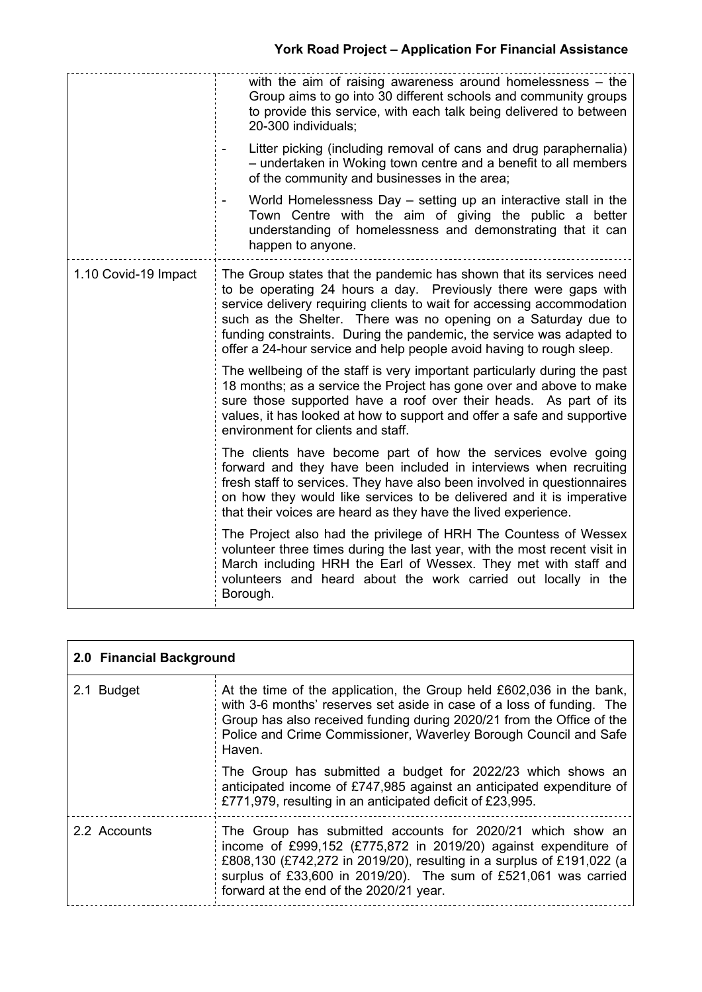|                      | with the aim of raising awareness around homelessness $-$ the<br>Group aims to go into 30 different schools and community groups<br>to provide this service, with each talk being delivered to between<br>20-300 individuals;                                                                                                                                                                                                      |
|----------------------|------------------------------------------------------------------------------------------------------------------------------------------------------------------------------------------------------------------------------------------------------------------------------------------------------------------------------------------------------------------------------------------------------------------------------------|
|                      | Litter picking (including removal of cans and drug paraphernalia)<br>- undertaken in Woking town centre and a benefit to all members<br>of the community and businesses in the area;                                                                                                                                                                                                                                               |
|                      | World Homelessness Day - setting up an interactive stall in the<br>Town Centre with the aim of giving the public a better<br>understanding of homelessness and demonstrating that it can<br>happen to anyone.                                                                                                                                                                                                                      |
| 1.10 Covid-19 Impact | The Group states that the pandemic has shown that its services need<br>to be operating 24 hours a day. Previously there were gaps with<br>service delivery requiring clients to wait for accessing accommodation<br>such as the Shelter. There was no opening on a Saturday due to<br>funding constraints. During the pandemic, the service was adapted to<br>offer a 24-hour service and help people avoid having to rough sleep. |
|                      | The wellbeing of the staff is very important particularly during the past<br>18 months; as a service the Project has gone over and above to make<br>sure those supported have a roof over their heads. As part of its<br>values, it has looked at how to support and offer a safe and supportive<br>environment for clients and staff.                                                                                             |
|                      | The clients have become part of how the services evolve going<br>forward and they have been included in interviews when recruiting<br>fresh staff to services. They have also been involved in questionnaires<br>on how they would like services to be delivered and it is imperative<br>that their voices are heard as they have the lived experience.                                                                            |
|                      | The Project also had the privilege of HRH The Countess of Wessex<br>volunteer three times during the last year, with the most recent visit in<br>March including HRH the Earl of Wessex. They met with staff and<br>volunteers and heard about the work carried out locally in the<br>Borough.                                                                                                                                     |

| 2.0 Financial Background |                                                                                                                                                                                                                                                                                                                      |  |
|--------------------------|----------------------------------------------------------------------------------------------------------------------------------------------------------------------------------------------------------------------------------------------------------------------------------------------------------------------|--|
| 2.1 Budget               | At the time of the application, the Group held £602,036 in the bank,<br>with 3-6 months' reserves set aside in case of a loss of funding. The<br>Group has also received funding during 2020/21 from the Office of the<br>Police and Crime Commissioner, Waverley Borough Council and Safe<br>Haven.                 |  |
|                          | The Group has submitted a budget for 2022/23 which shows an<br>anticipated income of £747,985 against an anticipated expenditure of<br>£771,979, resulting in an anticipated deficit of £23,995.                                                                                                                     |  |
| 2.2 Accounts             | The Group has submitted accounts for 2020/21 which show an<br>income of £999,152 (£775,872 in 2019/20) against expenditure of<br>£808,130 (£742,272 in 2019/20), resulting in a surplus of £191,022 (a<br>surplus of £33,600 in 2019/20). The sum of £521,061 was carried<br>forward at the end of the 2020/21 year. |  |